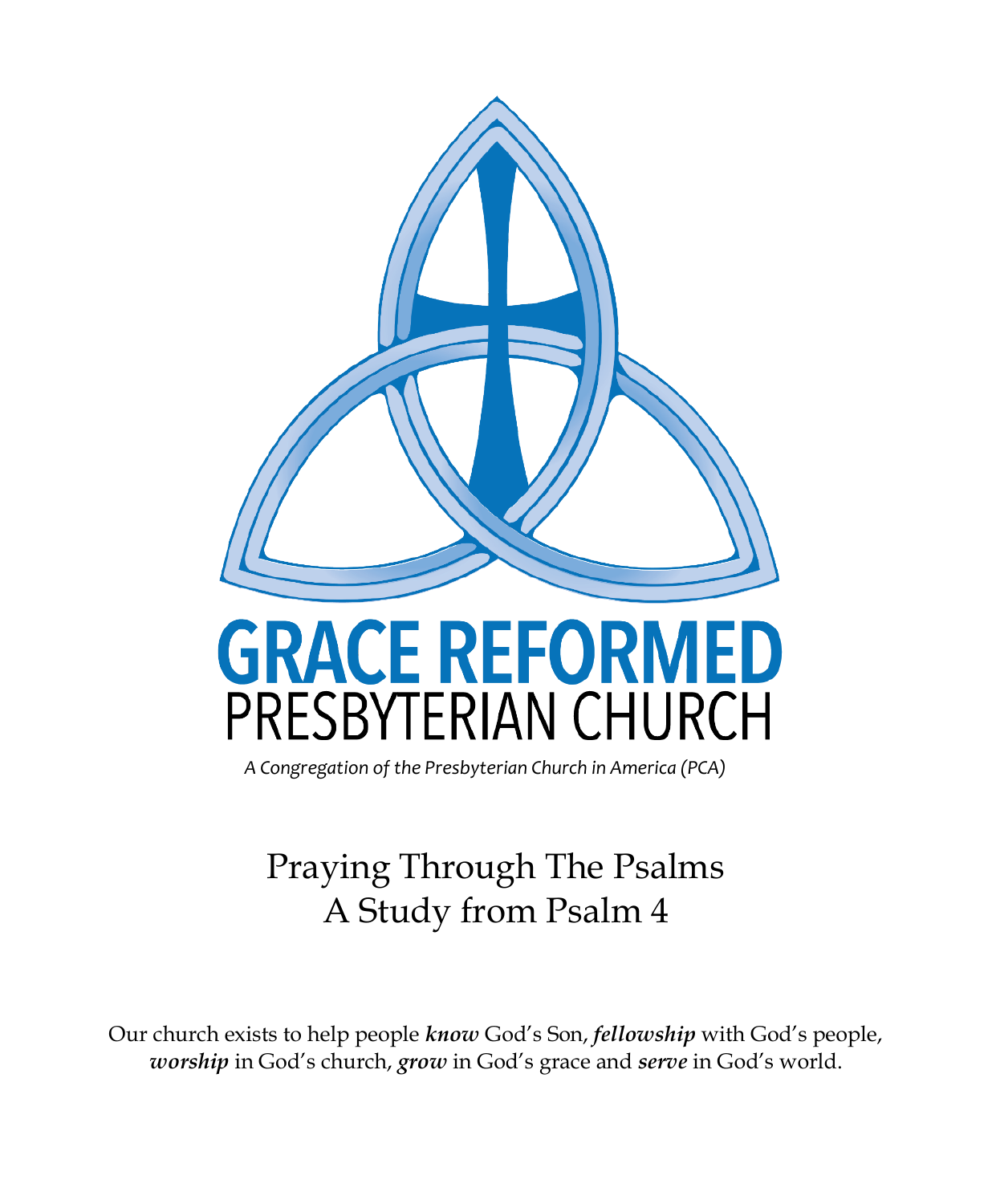

# **GRACE REFORMED** PRESBYTERIAN CHURCH

*A Congregation of the Presbyterian Church in America (PCA)*

## Praying Through The Psalms A Study from Psalm 4

Our church exists to help people *know* God's Son, *fellowship* with God's people, *worship* in God's church, *grow* in God's grace and *serve* in God's world.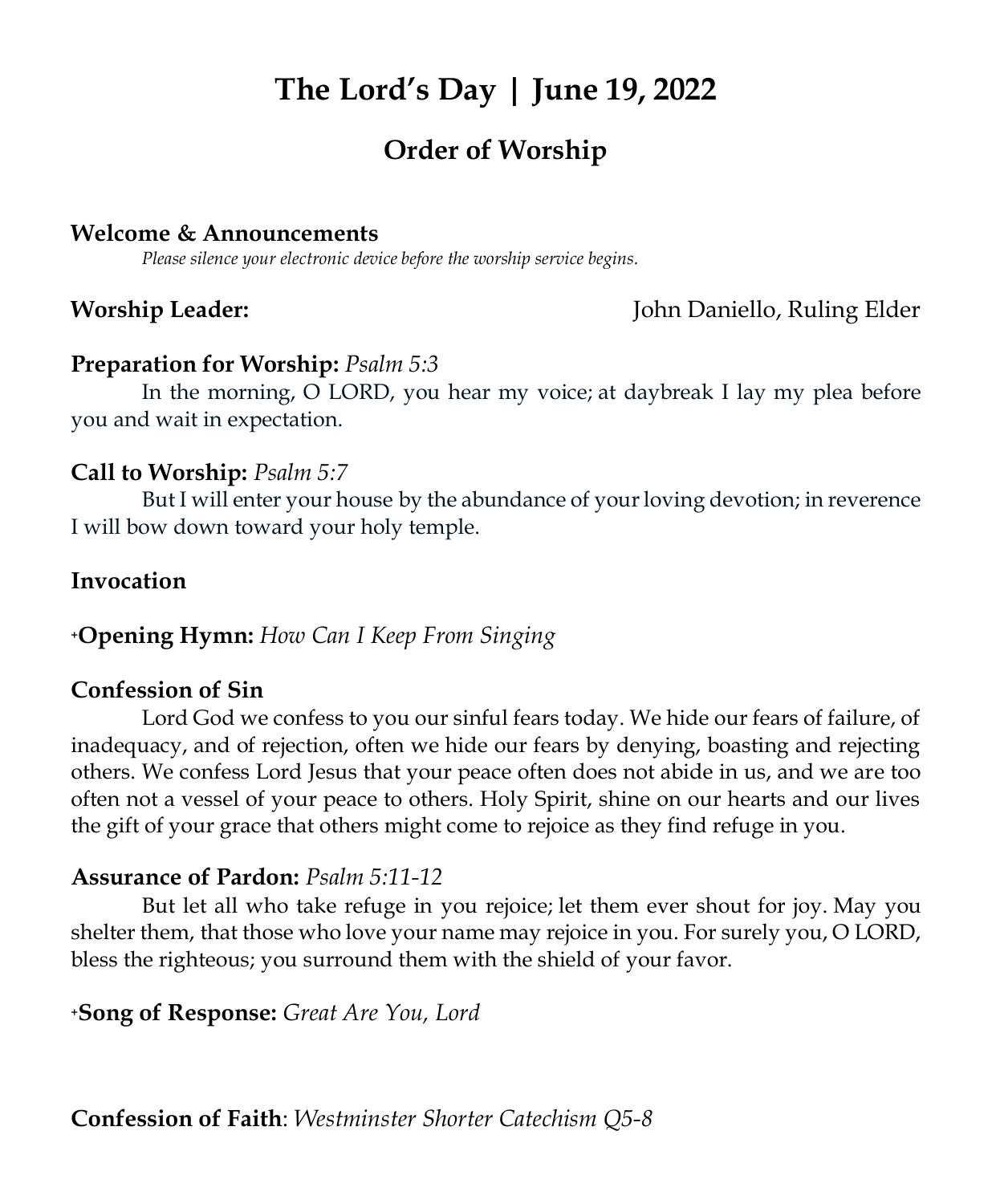## **The Lord's Day | June 19, 2022**

### **Order of Worship**

#### **Welcome & Announcements**

*Please silence your electronic device before the worship service begins.*

**Worship Leader:** John Daniello, Ruling Elder

#### **Preparation for Worship:** *Psalm 5:3*

In the morning, O LORD, you hear my voice; at daybreak I lay my plea before you and wait in expectation.

#### **Call to Worship:** *Psalm [5:7](https://biblehub.com/psalms/5-7.htm)*

But I will enter your house by the abundance of your loving devotion; in reverence I will bow down toward your holy temple.

#### **Invocation**

#### **<sup>+</sup>Opening Hymn:** *How Can I Keep From Singing*

#### **Confession of Sin**

Lord God we confess to you our sinful fears today. We hide our fears of failure, of inadequacy, and of rejection, often we hide our fears by denying, boasting and rejecting others. We confess Lord Jesus that your peace often does not abide in us, and we are too often not a vessel of your peace to others. Holy Spirit, shine on our hearts and our lives the gift of your grace that others might come to rejoice as they find refuge in you.

#### **Assurance of Pardon:** *Psalm 5[:11-](https://biblehub.com/psalms/5-11.htm)12*

But let all who take refuge in you rejoice; let them ever shout for joy. May you shelter them, that those who love your name may rejoice in you. For surely you, O LORD, bless the righteous; you surround them with the shield of your favor.

#### **<sup>+</sup>Song of Response:** *Great Are You, Lord*

**Confession of Faith**: *Westminster Shorter Catechism Q5-8*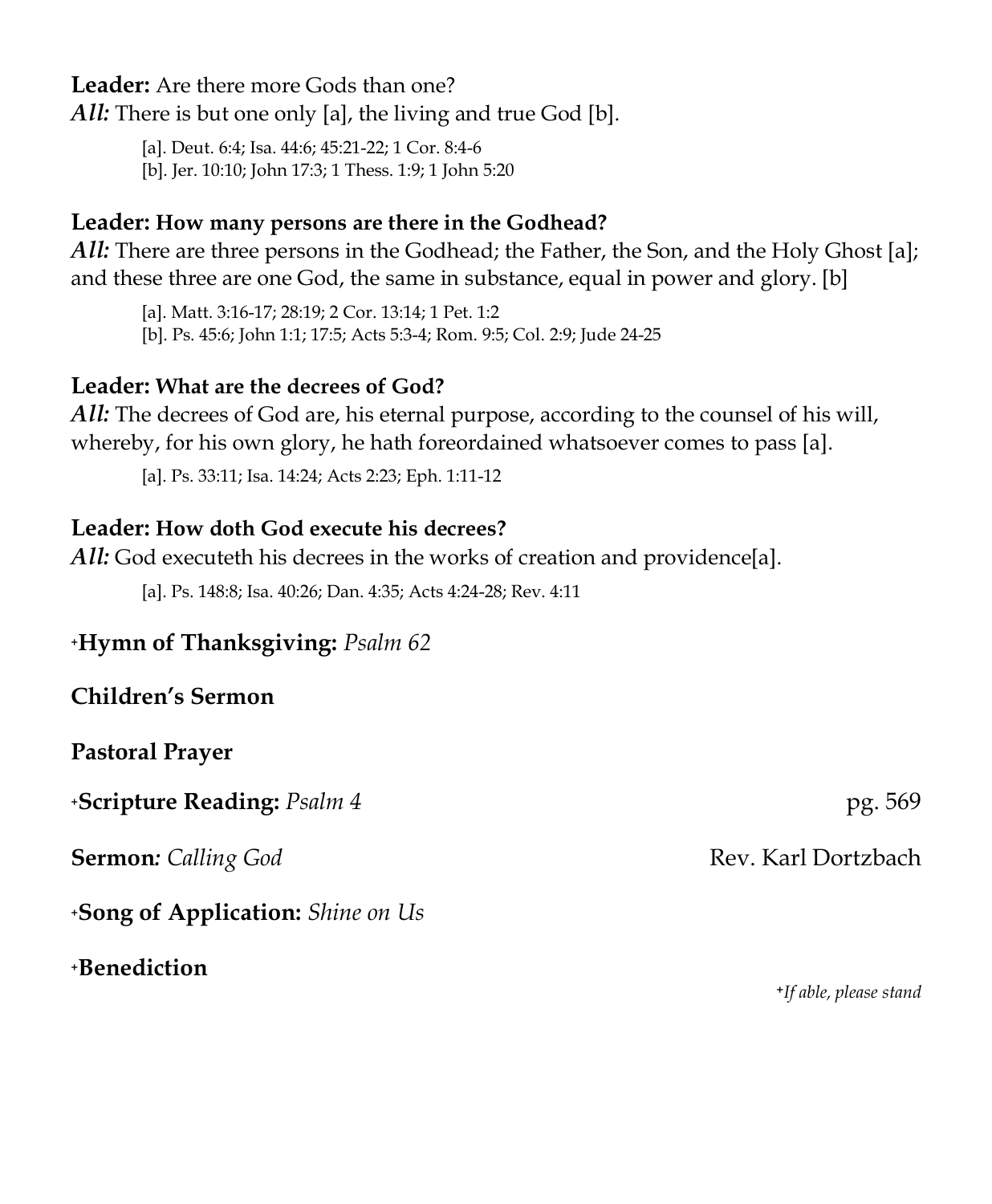**Leader:** Are there more Gods than one?

*All:* There is but one only [a], the living and true God [b].

[a]. [Deut.](https://biblia.com/bible/kjv1900/Deut.%206.4) 6:4; Isa. [44:6;](https://biblia.com/bible/kjv1900/Isa.%2044.6) [45:21-22;](https://biblia.com/bible/kjv1900/Isa%2045.21-22) 1 Cor. [8:4-6](https://biblia.com/bible/kjv1900/1%20Cor.%208.4-6)

[b]. Jer. [10:10;](https://biblia.com/bible/kjv1900/Jer.%2010.10) [John](https://biblia.com/bible/kjv1900/John%2017.3) 17:3; 1 [Thess.](https://biblia.com/bible/kjv1900/1%20Thess.%201.9) 1:9; 1 [John](https://biblia.com/bible/kjv1900/1%20John%205.20) 5:20

#### **Leader: How many persons are there in the Godhead?**

*All:* There are three persons in the Godhead; the Father, the Son, and the Holy Ghost [a]; and these three are one God, the same in substance, equal in power and glory. [b]

[a]. Matt. [3:16-17;](https://biblia.com/bible/kjv1900/Matt.%203.16-17) [28:19;](https://biblia.com/bible/kjv1900/Matt%2028.19) 2 Cor. [13:14;](https://biblia.com/bible/kjv1900/2%20Cor.%2013.14) 1 [Pet.](https://biblia.com/bible/kjv1900/1%20Pet.%201.2) 1:2

[b]. Ps. [45:6;](https://biblia.com/bible/kjv1900/Ps.%2045.6) [John](https://biblia.com/bible/kjv1900/John%201.1) 1:1; [17:5;](https://biblia.com/bible/kjv1900/John%2017.5) Acts [5:3-4;](https://biblia.com/bible/kjv1900/Acts%205.3-4) [Rom.](https://biblia.com/bible/kjv1900/Rom.%209.5) 9:5; [Col.](https://biblia.com/bible/kjv1900/Col.%202.9) 2:9; Jude [24-25](https://biblia.com/bible/kjv1900/Jude%2024-25)

#### **Leader: What are the decrees of God?**

*All:* The decrees of God are, his eternal purpose, according to the counsel of his will, whereby, for his own glory, he hath foreordained whatsoever comes to pass [a].

[a]. Ps. [33:11;](https://biblia.com/bible/kjv1900/Ps.%2033.11) Isa. [14:24;](https://biblia.com/bible/kjv1900/Isa.%2014.24) Acts [2:23;](https://biblia.com/bible/kjv1900/Acts%202.23) Eph. [1:11-12](https://biblia.com/bible/kjv1900/Eph.%201.11-12)

#### **Leader: How doth God execute his decrees?**

*All:* God executeth his decrees in the works of creation and providence[a].

[a]. Ps. [148:8;](https://biblia.com/bible/kjv1900/Ps.%20148.8) Isa. [40:26;](https://biblia.com/bible/kjv1900/Isa.%2040.26) [Dan.](https://biblia.com/bible/kjv1900/Dan.%204.35) 4:35; Acts [4:24-28;](https://biblia.com/bible/kjv1900/Acts%204.24-28) [Rev.](https://biblia.com/bible/kjv1900/Rev.%204.11) 4:11

#### **<sup>+</sup>Hymn of Thanksgiving:** *Psalm 62*

#### **Children's Sermon**

#### **Pastoral Prayer**

**+Scripture Reading:** *Psalm 4* **pg. 569** 

**Sermon**: *Calling God* **Rev. Karl Dortzbach** 

**<sup>+</sup>Song of Application:** *Shine on Us*

**<sup>+</sup>Benediction**

 **+***If able, please stand*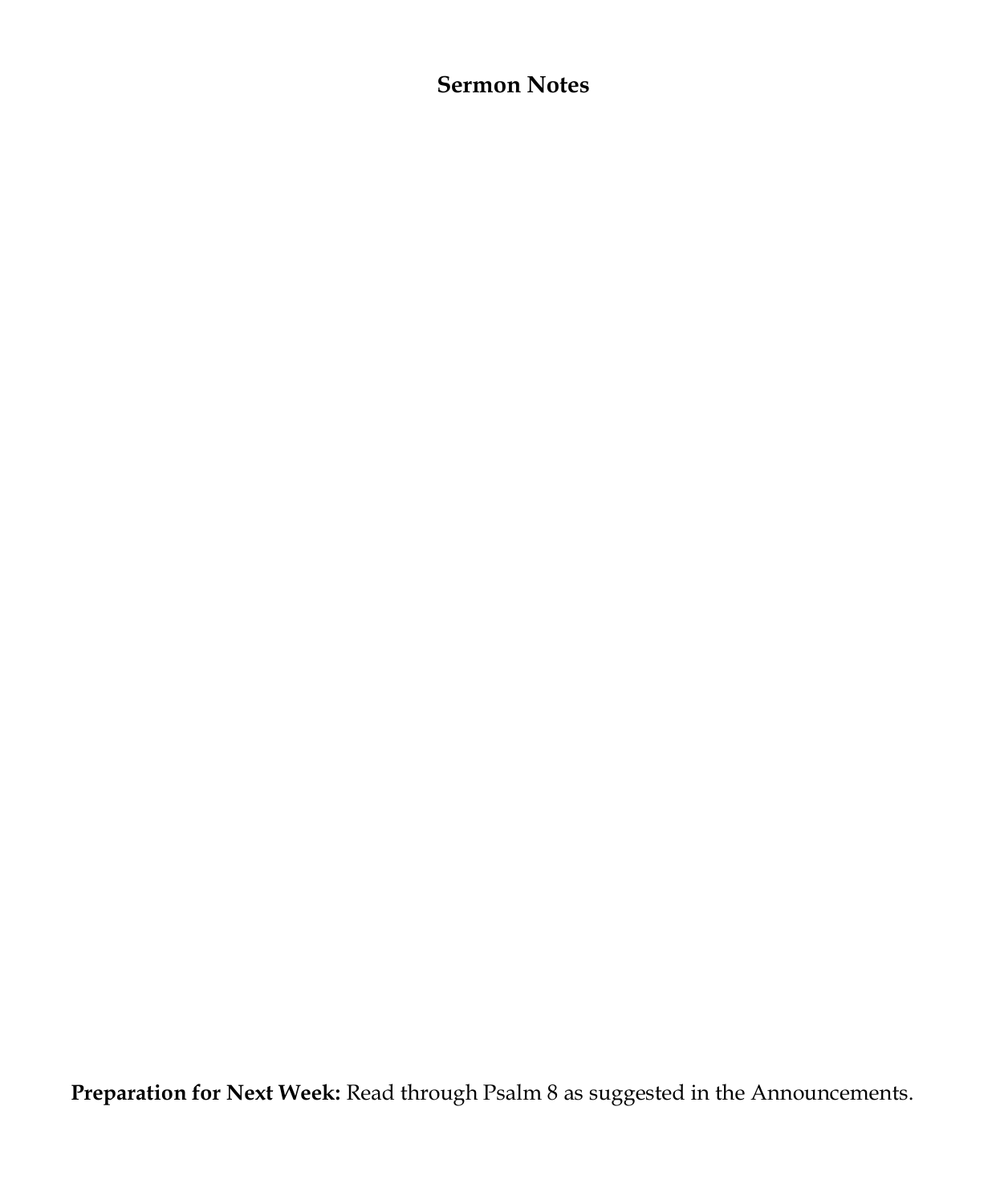#### **Sermon Notes**

**Preparation for Next Week:** Read through Psalm 8 as suggested in the Announcements.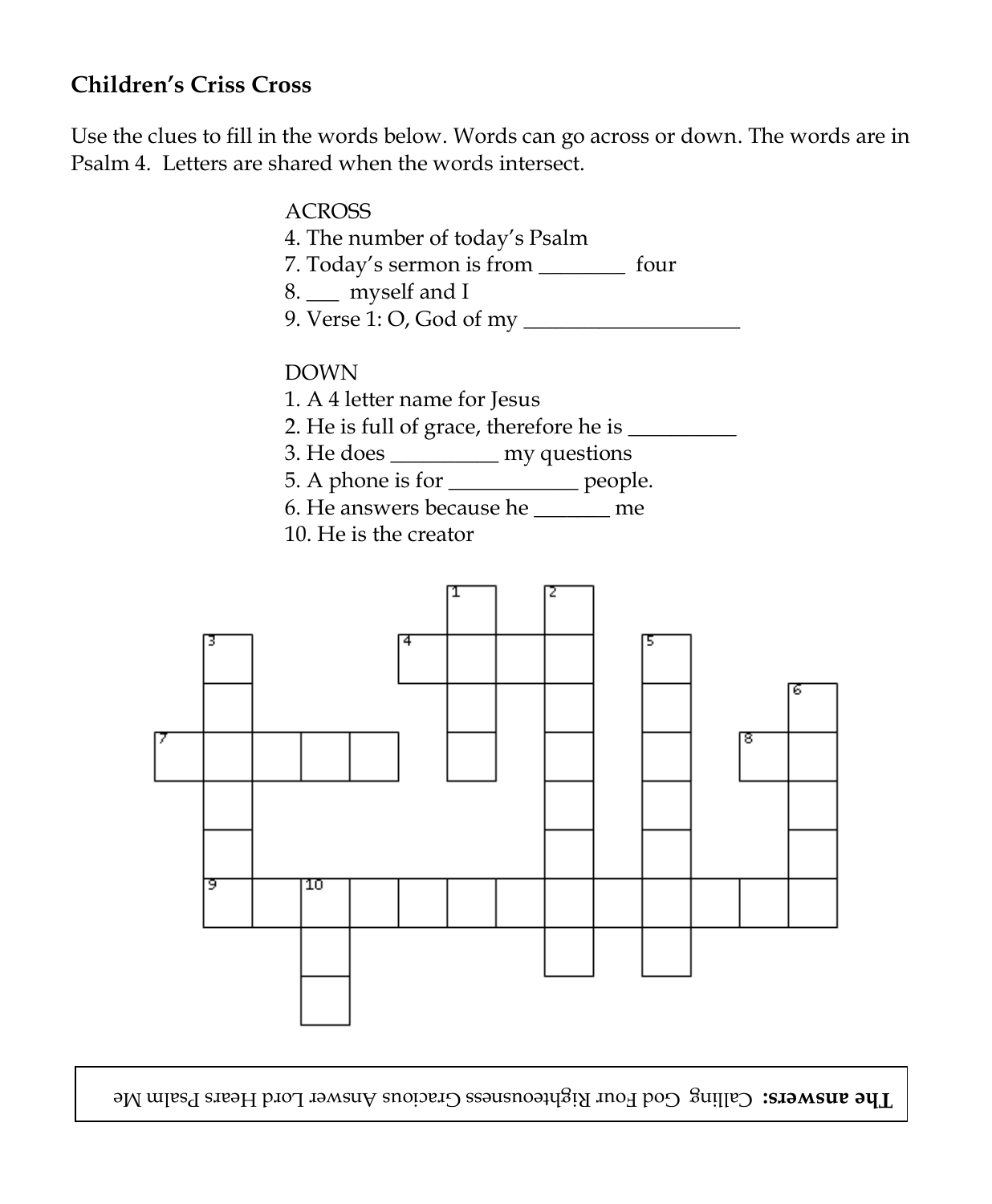#### **Children's Criss Cross**

Use the clues to fill in the words below. Words can go across or down. The words are in Psalm 4. Letters are shared when the words intersect.

|                                                                                                                                                                                               | <b>ACROSS</b><br>4. The number of today's Psalm<br>7. Today's sermon is from __________ four<br>8. __ myself and I |  |  |  |  |        |
|-----------------------------------------------------------------------------------------------------------------------------------------------------------------------------------------------|--------------------------------------------------------------------------------------------------------------------|--|--|--|--|--------|
| <b>DOWN</b><br>1. A 4 letter name for Jesus<br>3. He does ____________ my questions<br>5. A phone is for _____________ people.<br>6. He answers because he ______ me<br>10. He is the creator |                                                                                                                    |  |  |  |  |        |
| 9                                                                                                                                                                                             | 10                                                                                                                 |  |  |  |  | 6<br>8 |
|                                                                                                                                                                                               |                                                                                                                    |  |  |  |  |        |
|                                                                                                                                                                                               |                                                                                                                    |  |  |  |  |        |

The answers: Calling God Four Righteousness Gracious Answer Lord Hears Psalm Me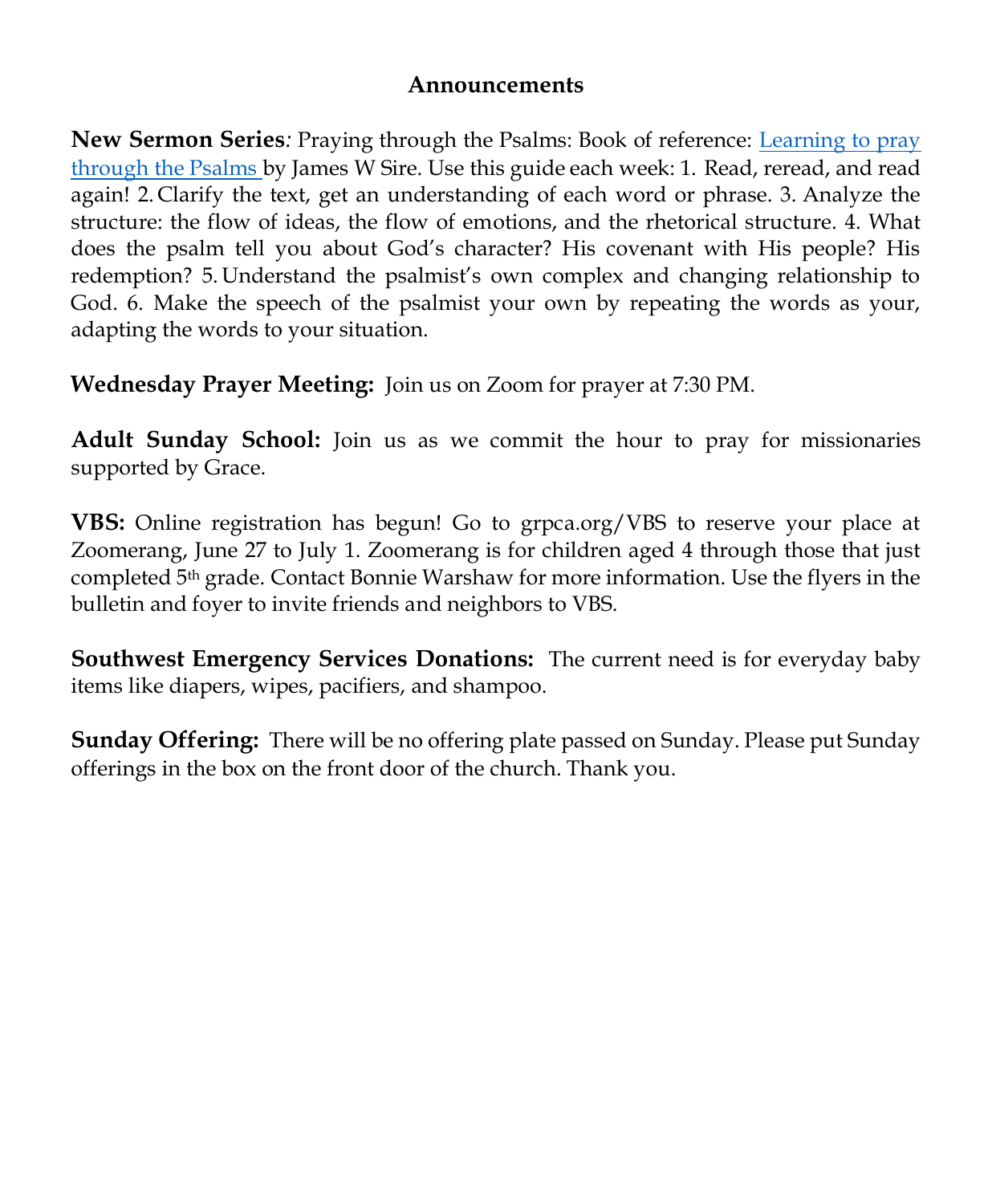#### **Announcements**

**New Sermon Series***:* Praying through the Psalms: Book of reference: [Learning to pray](https://www.amazon.com/Learning-Pray-Through-Psalms-James/dp/0830833323/ref=sr_1_1?crid=1V2XBKG5NDXXB&keywords=learning+to+pray+through+the+psalms&qid=1655241239&sprefix=learning+to+pray+through+the+psalme%2Caps%2C62&sr=8-1)  [through the Psalms b](https://www.amazon.com/Learning-Pray-Through-Psalms-James/dp/0830833323/ref=sr_1_1?crid=1V2XBKG5NDXXB&keywords=learning+to+pray+through+the+psalms&qid=1655241239&sprefix=learning+to+pray+through+the+psalme%2Caps%2C62&sr=8-1)y James W Sire. Use this guide each week: 1. Read, reread, and read again! 2. Clarify the text, get an understanding of each word or phrase. 3. Analyze the structure: the flow of ideas, the flow of emotions, and the rhetorical structure. 4. What does the psalm tell you about God's character? His covenant with His people? His redemption? 5. Understand the psalmist's own complex and changing relationship to God. 6. Make the speech of the psalmist your own by repeating the words as your, adapting the words to your situation.

**Wednesday Prayer Meeting:** Join us on Zoom for prayer at 7:30 PM.

**Adult Sunday School:** Join us as we commit the hour to pray for missionaries supported by Grace.

**VBS:** Online registration has begun! Go to grpca.org/VBS to reserve your place at Zoomerang, June 27 to July 1. Zoomerang is for children aged 4 through those that just completed 5th grade. Contact Bonnie Warshaw for more information. Use the flyers in the bulletin and foyer to invite friends and neighbors to VBS.

**Southwest Emergency Services Donations:** The current need is for everyday baby items like diapers, wipes, pacifiers, and shampoo.

**Sunday Offering:** There will be no offering plate passed on Sunday. Please put Sunday offerings in the box on the front door of the church. Thank you.